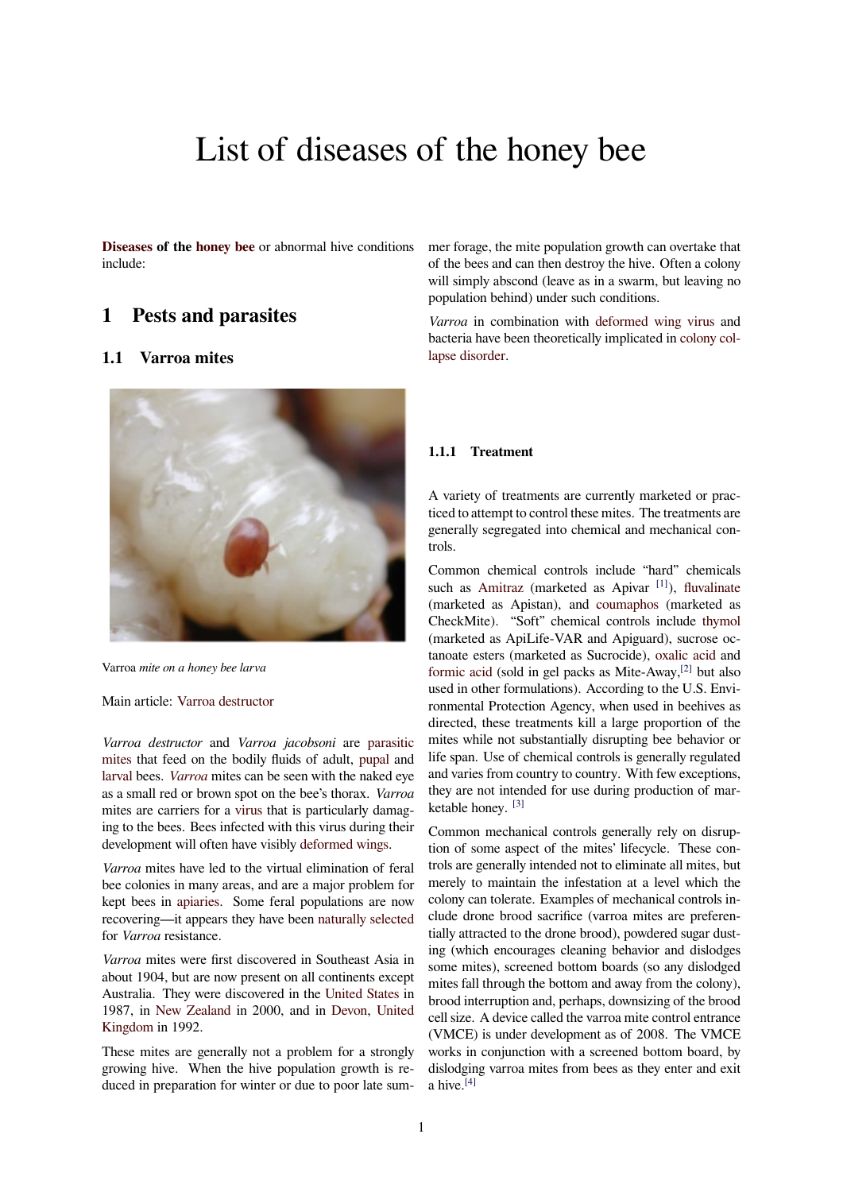# List of diseases of the honey bee

**Diseases of the honey bee** or abnormal hive conditions include:

# **[1 Pe](https://en.wikipedia.org/wiki/Disease)sts a[nd para](https://en.wikipedia.org/wiki/Honey_bee)sites**

# **1.1 Varroa mites**



Varroa *mite on a honey bee larva*

#### Main article: Varroa destructor

*Varroa destructor* and *Varroa jacobsoni* are parasitic mites that feed on the bodily fluids of adult, pupal and larval bees. *Varroa* [mites can be](https://en.wikipedia.org/wiki/Varroa_destructor) seen with the naked eye as a small red or brown spot on the bee's thorax. *Varroa* mites are carriers for a virus that is particularl[y damag](https://en.wikipedia.org/wiki/Parasite)[ing to](https://en.wikipedia.org/wiki/Mite) the bees. Bees infected with this virus d[uring t](https://en.wikipedia.org/wiki/Pupa)heir [develo](https://en.wikipedia.org/wiki/Larva)pmen[t will of](https://en.wikipedia.org/wiki/Varroa)ten have visibly deformed wings.

*Varroa* mites have led to the virtual elimination of feral bee colonies in many ar[eas, a](https://en.wikipedia.org/wiki/Virus)nd are a major problem for kept bees in apiaries. Some feral populations are now recovering—it appears they have been [naturally sele](https://en.wikipedia.org/wiki/Deformed_Wing_Virus)cted for *Varroa* resistance.

*Varroa* mites were first discovered in Southeast Asia in about 1904, [but are n](https://en.wikipedia.org/wiki/Apiary)ow present on all continents except Australia. They were discovered in the [United States](https://en.wikipedia.org/wiki/Natural_selection) in 1987, in New Zealand in 2000, and in Devon, United Kingdom in 1992.

These mites are generally not a problem for a strongly growing hive. When the hive populati[on growth is r](https://en.wikipedia.org/wiki/United_States)e[duced in](https://en.wikipedia.org/wiki/United_Kingdom) [preparation fo](https://en.wikipedia.org/wiki/New_Zealand)r winter or due to [poor la](https://en.wikipedia.org/wiki/Devon)[te sum-](https://en.wikipedia.org/wiki/United_Kingdom) mer forage, the mite population growth can overtake that of the bees and can then destroy the hive. Often a colony will simply abscond (leave as in a swarm, but leaving no population behind) under such conditions.

*Varroa* in combination with deformed wing virus and bacteria have been theoretically implicated in colony collapse disorder.

#### **1.1.1 Treatment**

A variety of treatments are currently marketed or practiced to attempt to control these mites. The treatments are generally segregated into chemical and mechanical controls.

Common chemical controls include "hard" chemicals such as Amitraz (marketed as Apivar  $[1]$ ), fluvalinate (marketed as Apistan), and coumaphos (marketed as CheckMite). "Soft" chemical controls include thymol (marketed as ApiLife-VAR and Apiguard), sucrose octanoate [esters \(m](https://en.wikipedia.org/wiki/Amitraz)arketed as Sucrocide), [ox](#page-6-0)ali[c acid](https://en.wikipedia.org/wiki/Fluvalinate) and formic acid (sold in gel packs [as Mite-Aw](https://en.wikipedia.org/wiki/Coumaphos)ay, $^{[2]}$  but also used in other formulations). According to the U.[S. Envi](https://en.wikipedia.org/wiki/Thymol)ronmental Protection Agency, when used in beehives as directed, these treatments kill a large pr[oportion of](https://en.wikipedia.org/wiki/Oxalic_acid) the [mites while](https://en.wikipedia.org/wiki/Formic_acid) not substantially disrupting bee [beh](#page-6-1)avior or life span. Use of chemical controls is generally regulated and varies from country to country. With few exceptions, they are not intended for use during production of marketable honey. [3]

Common mechanical controls generally rely on disruption of some aspect of the mites' lifecycle. These controls are generally intended not to eliminate all mites, but merely to mai[nta](#page-6-2)in the infestation at a level which the colony can tolerate. Examples of mechanical controls include drone brood sacrifice (varroa mites are preferentially attracted to the drone brood), powdered sugar dusting (which encourages cleaning behavior and dislodges some mites), screened bottom boards (so any dislodged mites fall through the bottom and away from the colony), brood interruption and, perhaps, downsizing of the brood cell size. A device called the varroa mite control entrance (VMCE) is under development as of 2008. The VMCE works in conjunction with a screened bottom board, by dislodging varroa mites from bees as they enter and exit a hive.<sup>[4]</sup>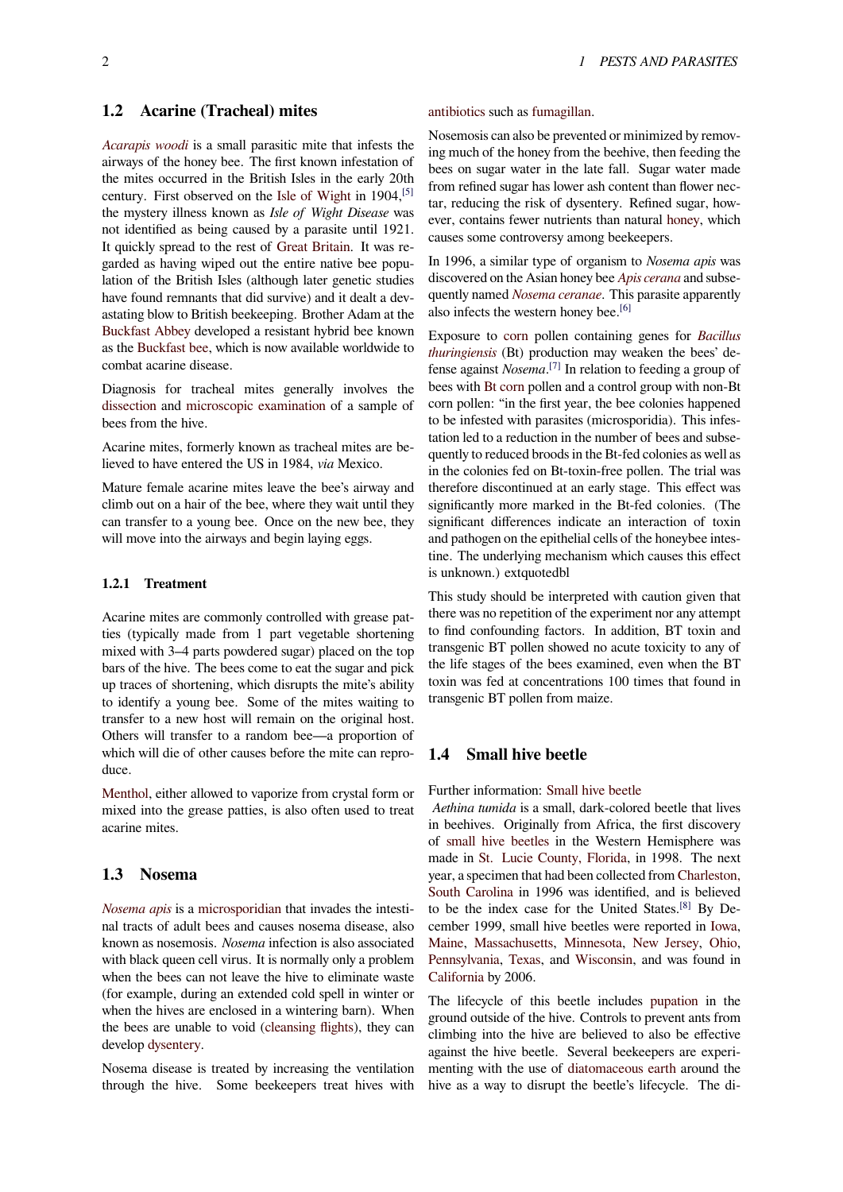### **1.2 Acarine (Tracheal) mites**

*Acarapis woodi* is a small parasitic mite that infests the airways of the honey bee. The first known infestation of the mites occurred in the British Isles in the early 20th century. First observed on the Isle of Wight in 1904,[5] [the mystery illn](https://en.wikipedia.org/wiki/Acarapis_woodi)ess known as *Isle of Wight Disease* was not identified as being caused by a parasite until 1921. It quickly spread to the rest of Great Britain. It was regarded as having wiped out th[e entire native](https://en.wikipedia.org/wiki/Isle_of_Wight) bee po[pu](#page-6-3)lation of the British Isles (although later genetic studies have found remnants that did survive) and it dealt a devastating blow to British beekee[ping. Brother A](https://en.wikipedia.org/wiki/Great_Britain)dam at the Buckfast Abbey developed a resistant hybrid bee known as the Buckfast bee, which is now available worldwide to combat acarine disease.

Diagnosis for tracheal mites generally involves the [dissection](https://en.wikipedia.org/wiki/Buckfast_Abbey) and microscopic examination of a sample of beesf[rom the hive.](https://en.wikipedia.org/wiki/Buckfast_bee)

Acarine mites, formerly known as tracheal mites are believed to have entered the US in 1984, *via* Mexico.

[Mature fe](https://en.wikipedia.org/wiki/Dissection)male [acarine mites leave the b](https://en.wikipedia.org/wiki/Microscope)ee's airway and climb out on a hair of the bee, where they wait until they can transfer to a young bee. Once on the new bee, they will move into the airways and begin laying eggs.

#### **1.2.1 Treatment**

Acarine mites are commonly controlled with grease patties (typically made from 1 part vegetable shortening mixed with 3–4 parts powdered sugar) placed on the top bars of the hive. The bees come to eat the sugar and pick up traces of shortening, which disrupts the mite's ability to identify a young bee. Some of the mites waiting to transfer to a new host will remain on the original host. Others will transfer to a random bee—a proportion of which will die of other causes before the mite can reproduce.

Menthol, either allowed to vaporize from crystal form or mixed into the grease patties, is also often used to treat acarine mites.

#### **[1.3 N](https://en.wikipedia.org/wiki/Menthol)osema**

*Nosema apis* is a microsporidian that invades the intestinal tracts of adult bees and causes nosema disease, also known as nosemosis. *Nosema* infection is also associated with black queen cell virus. It is normally only a problem [when the bee](https://en.wikipedia.org/wiki/Nosema_apis)s c[an not leave the](https://en.wikipedia.org/wiki/Microsporidian) hive to eliminate waste (for example, during an extended cold spell in winter or when the hives are enclosed in a wintering barn). When the bees are unable to void (cleansing flights), they can develop dysentery.

Nosema disease is treated by increasing the ventilation through the hive. Some b[eekeepers treat](https://en.wikipedia.org/wiki/Cleansing_flight) hives with

antibiotics such as fumagillan.

Nosemosis can also be prevented or minimized by removing much of the honey from the beehive, then feeding the bees on sugar water in the late fall. Sugar water made [from refine](https://en.wikipedia.org/wiki/Antibiotic)d sugar [has lower a](https://en.wikipedia.org/wiki/Fumagillan)sh content than flower nectar, reducing the risk of dysentery. Refined sugar, however, contains fewer nutrients than natural honey, which causes some controversy among beekeepers.

In 1996, a similar type of organism to *Nosema apis* was discovered on the Asian honey bee *Apis cerana* and subsequently named *Nosema ceranae*. This paras[ite app](https://en.wikipedia.org/wiki/Honey)arently also infects the western honey bee.<sup>[6]</sup>

Exposure to corn pollen containing genes for *Bacillus thuringiensis* (Bt) production may [weaken the](https://en.wikipedia.org/wiki/Apis_cerana) bees' defense against *Nosema*. [7] [In relat](https://en.wikipedia.org/wiki/Nosema_ceranae)ion to feeding a group of bees with Bt corn pollen and a con[tro](#page-6-4)l group with non-Bt corn pollen: ["in th](https://en.wikipedia.org/wiki/Maize)e first year, the bee colonies h[appened](https://en.wikipedia.org/wiki/Bacillus_thuringiensis) [to be infested](https://en.wikipedia.org/wiki/Bacillus_thuringiensis) with parasites (microsporidia). This infestation led to a reducti[on](#page-6-5) in the number of bees and subsequently to [reduced](https://en.wikipedia.org/wiki/Bt_corn) broods in the Bt-fed colonies as well as in the colonies fed on Bt-toxin-free pollen. The trial was therefore discontinued at an early stage. This effect was significantly more marked in the Bt-fed colonies. (The significant differences indicate an interaction of toxin and pathogen on the epithelial cells of the honeybee intestine. The underlying mechanism which causes this effect is unknown.) extquotedbl

This study should be interpreted with caution given that there was no repetition of the experiment nor any attempt to find confounding factors. In addition, BT toxin and transgenic BT pollen showed no acute toxicity to any of the life stages of the bees examined, even when the BT toxin was fed at concentrations 100 times that found in transgenic BT pollen from maize.

### **1.4 Small hive beetle**

Further information: Small hive beetle

*Aethina tumida* is a small, dark-colored beetle that lives in beehives. Originally from Africa, the first discovery of small hive beetles in the Western Hemisphere was made in St. Lucie [County, Florida, in](https://en.wikipedia.org/wiki/Small_hive_beetle) 1998. The next year, a specimen that had been collected from Charleston, South Carolina in 1996 was identified, and is believed to [be the index case](https://en.wikipedia.org/wiki/Small_hive_beetle) for the United States.[8] By December [1999, small hive beetles we](https://en.wikipedia.org/wiki/St._Lucie_County,_Florida)re reported in Iowa, Maine, Massachusetts, Minnesota, New Jersey, [Ohio,](https://en.wikipedia.org/wiki/Charleston,_South_Carolina) [Pennsylvania,](https://en.wikipedia.org/wiki/Charleston,_South_Carolina) Texas, and Wisconsin, and was found in California by 2006.

The lifecycle of this beetle includes pupation i[n the](https://en.wikipedia.org/wiki/Iowa) [ground](https://en.wikipedia.org/wiki/Maine) [outside of the h](https://en.wikipedia.org/wiki/Massachusetts)i[ve. Control](https://en.wikipedia.org/wiki/Minnesota)s [to prevent an](https://en.wikipedia.org/wiki/New_Jersey)t[s from](https://en.wikipedia.org/wiki/Ohio) [climbing into](https://en.wikipedia.org/wiki/Pennsylvania) [the hi](https://en.wikipedia.org/wiki/Texas)ve ar[e believed t](https://en.wikipedia.org/wiki/Wisconsin)o also be effective [against the](https://en.wikipedia.org/wiki/California) hive beetle. Several beekeepers are experimenting with the use of diatomaceous [earth](https://en.wikipedia.org/wiki/Pupa) around the hive as a way to disrupt the beetle's lifecycle. The di-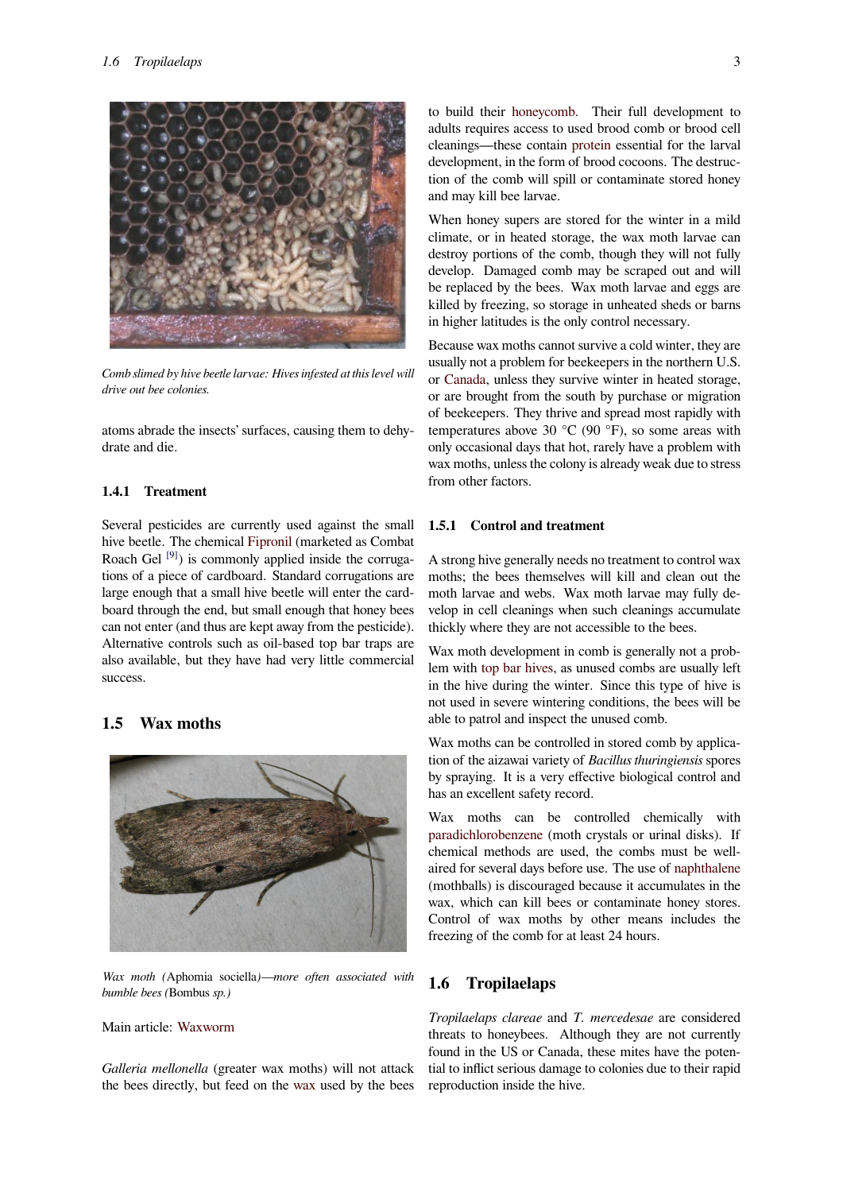

*Comb slimed by hive beetle larvae: Hives infested at this level will drive out bee colonies.*

atoms abrade the insects' surfaces, causing them to dehydrate and die.

### **1.4.1 Treatment**

Several pesticides are currently used against the small hive beetle. The chemical Fipronil (marketed as Combat Roach Gel [9]) is commonly applied inside the corrugations of a piece of cardboard. Standard corrugations are large enough that a small hive beetle will enter the cardboard through the end, bu[t small en](https://en.wikipedia.org/wiki/Fipronil)ough that honey bees can not ent[er \(](#page-6-6)and thus are kept away from the pesticide). Alternative controls such as oil-based top bar traps are also available, but they have had very little commercial success.

# **1.5 Wax moths**



*Wax moth (*Aphomia sociella*)—more often associated with bumble bees (*Bombus *sp.)*

### Main article: Waxworm

*Galleria mellonella* (greater wax moths) will not attack the bees dire[ctly, but fe](https://en.wikipedia.org/wiki/Waxworm)ed on the wax used by the bees to build their honeycomb. Their full development to adults requires access to used brood comb or brood cell cleanings—these contain protein essential for the larval development, in the form of brood cocoons. The destruction of the co[mb will spill](https://en.wikipedia.org/wiki/Honeycomb) or contaminate stored honey and may kill bee larvae.

When honey supers ares[tored fo](https://en.wikipedia.org/wiki/Protein)r the winter in a mild climate, or in heated storage, the wax moth larvae can destroy portions of the comb, though they will not fully develop. Damaged comb may be scraped out and will be replaced by the bees. Wax moth larvae and eggs are killed by freezing, so storage in unheated sheds or barns in higher latitudes is the only control necessary.

Because wax moths cannot survive a cold winter, they are usually not a problem for beekeepers in the northern U.S. or Canada, unless they survive winter in heated storage, or are brought from the south by purchase or migration of beekeepers. They thrive and spread most rapidly with temperatures above 30  $^{\circ}$ C (90  $^{\circ}$ F), so some areas with on[ly occas](https://en.wikipedia.org/wiki/Canada)ional days that hot, rarely have a problem with wax moths, unless the colony is already weak due to stress from other factors.

#### **1.5.1 Control and treatment**

A strong hive generally needs no treatment to control wax moths; the bees themselves will kill and clean out the moth larvae and webs. Wax moth larvae may fully develop in cell cleanings when such cleanings accumulate thickly where they are not accessible to the bees.

Wax moth development in comb is generally not a problem with top bar hives, as unused combs are usually left in the hive during the winter. Since this type of hive is not used in severe wintering conditions, the bees will be able to patrol and inspect the unused comb.

Wax mot[hs can be con](https://en.wikipedia.org/wiki/Top_bar_hive)trolled in stored comb by application of the aizawai variety of *Bacillus thuringiensis* spores by spraying. It is a very effective biological control and has an excellent safety record.

Wax moths can be controlled chemically with paradichlorobenzene (moth crystals or urinal disks). If chemical methods are used, the combs must be wellaired for several days before use. The use of naphthalene (mothballs) is discouraged because it accumulates in the [wax, which can kill](https://en.wikipedia.org/wiki/Paradichlorobenzene) bees or contaminate honey stores. Control of wax moths by other means includes the freezing of the comb for at least 24 hours.

#### **1.6 Tropilaelaps**

*Tropilaelaps clareae* and *T. mercedesae* are considered threats to honeybees. Although they are not currently found in the US or Canada, these mites have the potential to inflict serious damage to colonies due to their rapid reproduction inside the hive.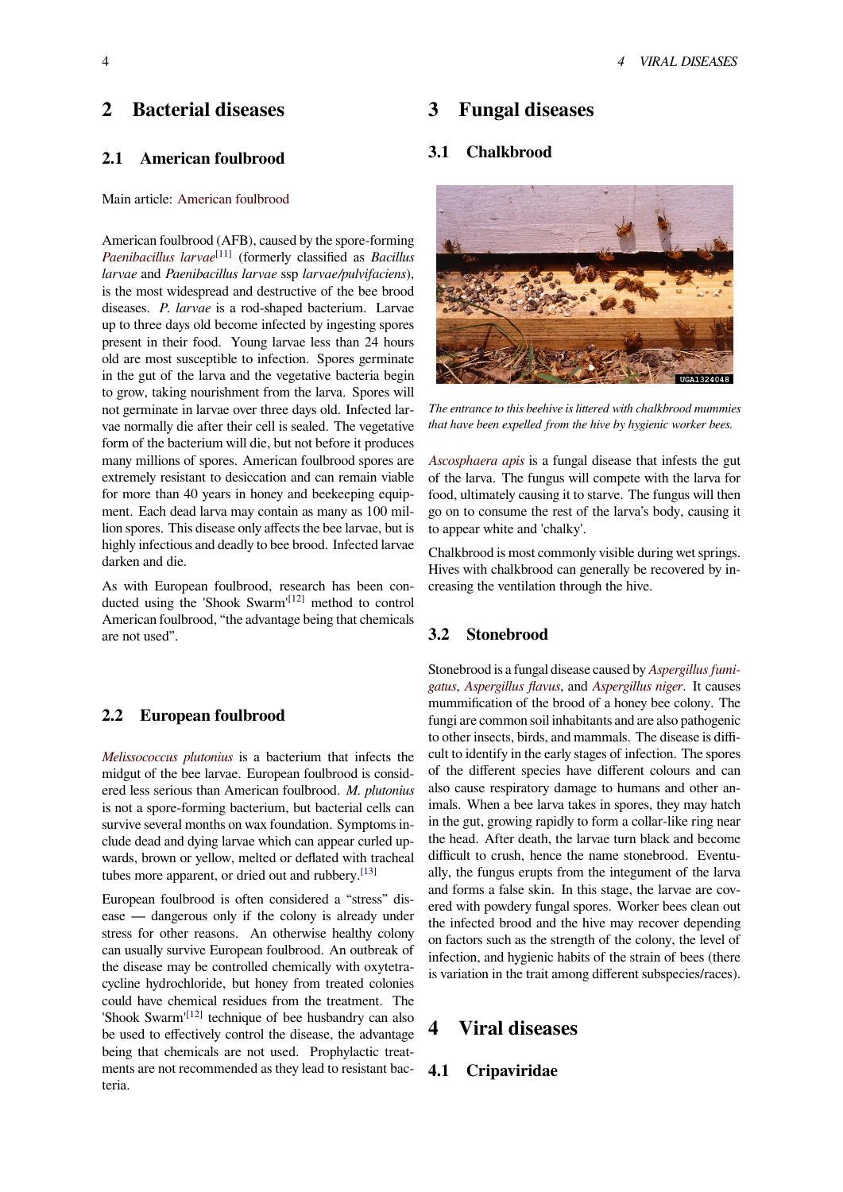# **2 Bacterial diseases**

# **2.1 American foulbrood**

#### Main article: American foulbrood

American foulbrood (AFB), caused by the spore-forming *Paenibacillus larvae*[11] (formerly classified as *Bacillus larvae* and *P[aenibacillus larvae](https://en.wikipedia.org/wiki/American_foulbrood)* ssp *larvae/pulvifaciens*), is the most widespread and destructive of the bee brood diseases. *P. larvae* is a rod-shaped bacterium. Larvae [up to three days old](https://en.wikipedia.org/wiki/Paenibacillus) [bec](#page-6-7)ome infected by ingesting spores present in their food. Young larvae less than 24 hours old are most susceptible to infection. Spores germinate in the gut of the larva and the vegetative bacteria begin to grow, taking nourishment from the larva. Spores will not germinate in larvae over three days old. Infected larvae normally die after their cell is sealed. The vegetative form of the bacterium will die, but not before it produces many millions of spores. American foulbrood spores are extremely resistant to desiccation and can remain viable for more than 40 years in honey and beekeeping equipment. Each dead larva may contain as many as 100 million spores. This disease only affects the bee larvae, but is highly infectious and deadly to bee brood. Infected larvae darken and die.

As with European foulbrood, research has been conducted using the 'Shook Swarm'<sup>[12]</sup> method to control American foulbrood, "the advantage being that chemicals are not used".

#### **2.2 European foulbrood**

*Melissococcus plutonius* is a bacterium that infects the midgut of the bee larvae. European foulbrood is considered less serious than American foulbrood. *M. plutonius* is not a spore-forming bacterium, but bacterial cells can [survive several months o](https://en.wikipedia.org/wiki/Melissococcus_plutonius)n wax foundation. Symptoms include dead and dying larvae which can appear curled upwards, brown or yellow, melted or deflated with tracheal tubes more apparent, or dried out and rubbery.<sup>[13]</sup>

European foulbrood is often considered a "stress" disease — dangerous only if the colony is already under stress for other reasons. An otherwise healthy colony can usually survive European foulbrood. An o[utbr](#page-6-8)eak of the disease may be controlled chemically with oxytetracycline hydrochloride, but honey from treated colonies could have chemical residues from the treatment. The 'Shook Swarm'<sup>[12]</sup> technique of bee husbandry can also be used to effectively control the disease, the advantage being that chemicals are not used. Prophylactic treatments are not recommended as they lead to resistant bacteria.

# **3 Fungal diseases**

# **3.1 Chalkbrood**



*The entrance to this beehive is littered with chalkbrood mummies that have been expelled from the hive by hygienic worker bees.*

*Ascosphaera apis* is a fungal disease that infests the gut of the larva. The fungus will compete with the larva for food, ultimately causing it to starve. The fungus will then go on to consume the rest of the larva's body, causing it [to appear white an](https://en.wikipedia.org/wiki/Ascosphaera_apis)d 'chalky'.

Chalkbrood is most commonly visible during wet springs. Hives with chalkbrood can generally be recovered by increasing the ventilation through the hive.

### **3.2 Stonebrood**

Stonebrood is a fungal disease caused by *Aspergillus fumigatus*, *Aspergillus flavus*, and *Aspergillus niger*. It causes mummification of the brood of a honey bee colony. The fungi are common soil inhabitants and are also pathogenic to other insects, birds, and mammals. T[he disease is diffi](https://en.wikipedia.org/wiki/Aspergillus_fumigatus)[cult to](https://en.wikipedia.org/wiki/Aspergillus_fumigatus) [identify in the ear](https://en.wikipedia.org/wiki/Aspergillus_flavus)ly sta[ges of infection. T](https://en.wikipedia.org/wiki/Aspergillus_niger)he spores of the different species have different colours and can also cause respiratory damage to humans and other animals. When a bee larva takes in spores, they may hatch in the gut, growing rapidly to form a collar-like ring near the head. After death, the larvae turn black and become difficult to crush, hence the name stonebrood. Eventually, the fungus erupts from the integument of the larva and forms a false skin. In this stage, the larvae are covered with powdery fungal spores. Worker bees clean out the infected brood and the hive may recover depending on factors such as the strength of the colony, the level of infection, and hygienic habits of the strain of bees (there is variation in the trait among different subspecies/races).

# **4 Viral diseases**

#### **4.1 Cripaviridae**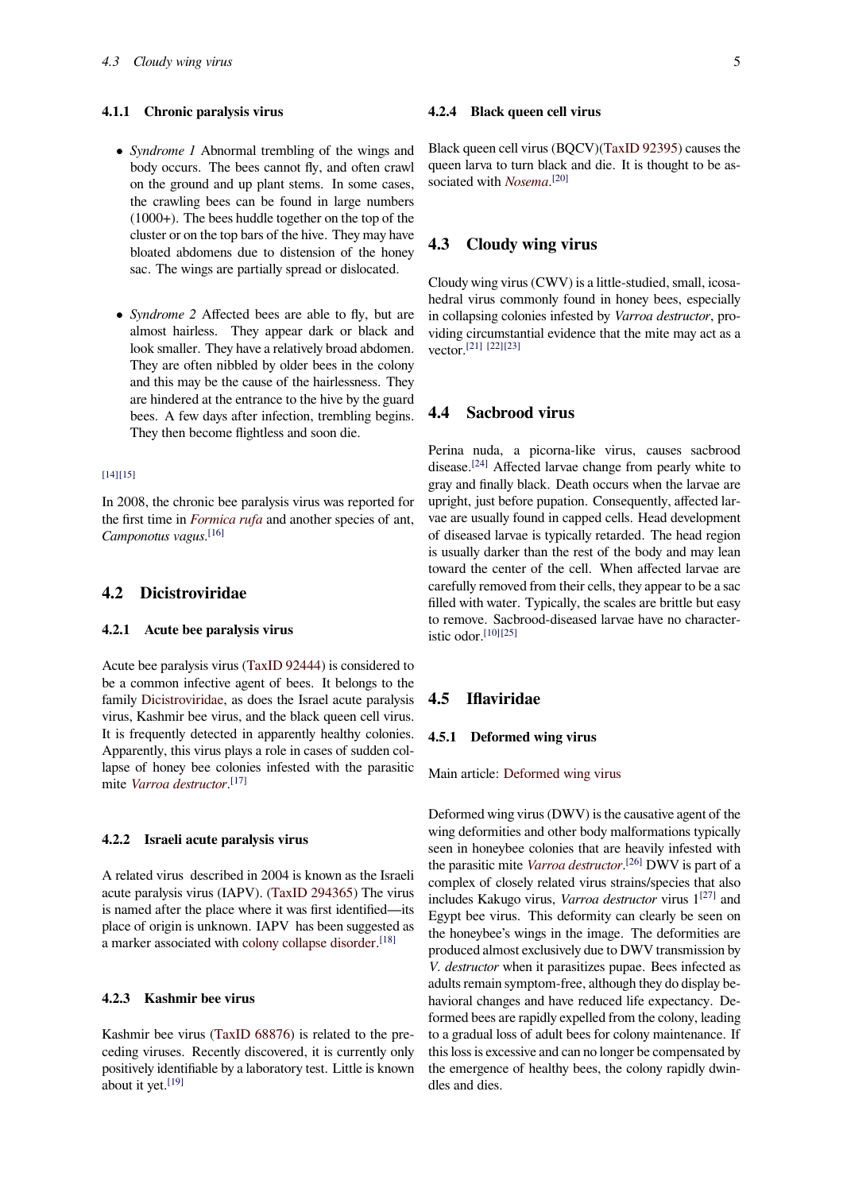#### **4.1.1 Chronic paralysis virus**

- *• Syndrome 1* Abnormal trembling of the wings and body occurs. The bees cannot fly, and often crawl on the ground and up plant stems. In some cases, the crawling bees can be found in large numbers (1000+). The bees huddle together on the top of the cluster or on the top bars of the hive. They may have bloated abdomens due to distension of the honey sac. The wings are partially spread or dislocated.
- *Syndrome* 2 Affected bees are able to fly, but are almost hairless. They appear dark or black and look smaller. They have a relatively broad abdomen. They are often nibbled by older bees in the colony and this may be the cause of the hairlessness. They are hindered at the entrance to the hive by the guard bees. A few days after infection, trembling begins. They then become flightless and soon die.

#### [14][15]

In 2008, the chronic bee paralysis virus was reported for the first time in *Formica rufa* and another species of ant, *[Ca](#page-6-9)[mpo](#page-6-10)notus vagus*. [16]

### **4.2 Dicistr[oviridae](https://en.wikipedia.org/wiki/Formica_rufa)**

#### **4.2.1 Acute bee paralysis virus**

Acute bee paralysis virus (TaxID 92444) is considered to be a common infective agent of bees. It belongs to the family Dicistroviridae, as does the Israel acute paralysis virus, Kashmir bee virus, and the black queen cell virus. It is frequently detectedi[n apparently h](http://www.ncbi.nlm.nih.gov/Taxonomy/Browser/wwwtax.cgi?id=92444&lvl=0)ealthy colonies. Apparently, this virus plays a role in cases of sudden collapse [of honey bee co](https://en.wikipedia.org/wiki/Dicistroviridae)lonies infested with the parasitic mite *Varroa destructor*. [17]

#### **4.2.2 [Israeli acute p](https://en.wikipedia.org/wiki/Varroa_destructor)[ara](#page-6-12)lysis virus**

A related virus described in 2004 is known as the Israeli acute paralysis virus (IAPV). (TaxID 294365) The virus is named after the place where it was first identified—its place of origin is unknown. IAPV has been suggested as a marker associated with colony collapse disorder.<sup>[18]</sup>

#### **4.2.3 Kashmir bee virus**

Kashmir bee virus (TaxID 68876) is related to the preceding viruses. Recently discovered, it is currently only positively identifiable by a laboratory test. Little is known about it yet.<sup>[19]</sup>

#### **4.2.4 Black queen cell virus**

Black queen cell virus (BQCV)(TaxID 92395) causes the queen larva to turn black and die. It is thought to be associated with *Nosema*.<sup>[20]</sup>

### **4.3 Clou[dy win](https://en.wikipedia.org/wiki/Nosema_(fungus))[g vi](#page-6-13)rus**

Cloudy wing virus (CWV) is a little-studied, small, icosahedral virus commonly found in honey bees, especially in collapsing colonies infested by *Varroa destructor*, providing circumstantial evidence that the mite may act as a vector.[21] [22][23]

### **4.4 [Sa](#page-6-14)[cb](#page-6-15)[roo](#page-6-16)d virus**

Perina nuda, a picorna-like virus, causes sacbrood disease.[24] Affected larvae change from pearly white to gray and finally black. Death occurs when the larvae are upright, just before pupation. Consequently, affected larvae are usually found in capped cells. Head development of dise[ased](#page-6-17) larvae is typically retarded. The head region is usually darker than the rest of the body and may lean toward the center of the cell. When affected larvae are carefully removed from their cells, they appear to be a sac filled with water. Typically, the scales are brittle but easy to remove. Sacbrood-diseased larvae have no characteristic odor. $[10][25]$ 

#### **4.5 Ifl[av](#page-6-18)[irid](#page-7-0)ae**

#### **4.5.1 Deformed wing virus**

Main article: Deformed wing virus

Deformed wing virus (DWV) is the causative agent of the wing deformities and other body malformations typically seen in hone[ybee colonies that are](https://en.wikipedia.org/wiki/Deformed_wing_virus) heavily infested with the parasitic mite *Varroa destructor*. [26] DWV is part of a complex of closely related virus strains/species that also includes Kakugo virus, *Varroa destructor* virus 1[27] and Egypt bee virus. This deformity can clearly be seen on the honeybee's w[ings in the image.](https://en.wikipedia.org/wiki/Varroa_destructor) [Th](#page-7-1)e deformities are produced almost exclusively due to DWV transmission by *V. destructor* when it parasitizes pupae. Bees inf[ecte](#page-7-2)d as adults remain symptom-free, although they do display behavioral changes and have reduced life expectancy. Deformed bees are rapidly expelled from the colony, leading to a gradual loss of adult bees for colony maintenance. If this loss is excessive and can no longer be compensated by the emergence of healthy bees, the colony rapidly dwindles and dies.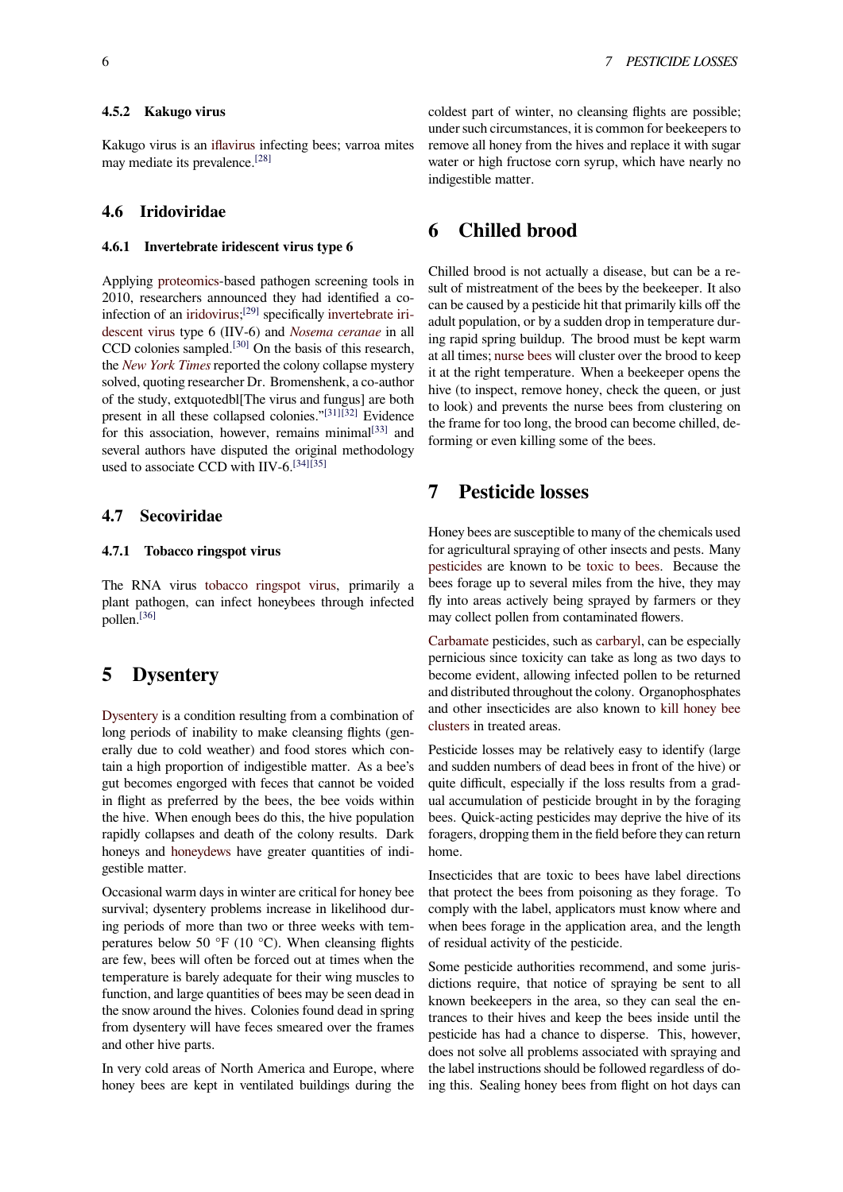Kakugo virus is an iflavirus infecting bees; varroa mites may mediate its prevalence.[28]

#### **4.6 Iridovirid[ae](https://en.wikipedia.org/wiki/Iflavirus)**

#### **4.6.1 Invertebrate iridescent virus type 6**

Applying proteomics-based pathogen screening tools in 2010, researchers announced they had identified a coinfection of an iridovirus;<sup>[29]</sup> specifically invertebrate iridescent virus type 6 (IIV-6) and *Nosema ceranae* in all CCD col[onies sample](https://en.wikipedia.org/wiki/Proteomics)d.<sup>[30]</sup> On the basis of this research, the *New York Times* reported the colony collapse mystery solved, quoting [researche](https://en.wikipedia.org/wiki/Iridoviridae)[r Dr](#page-7-3). Bromensh[enk, a co-author](https://en.wikipedia.org/wiki/Invertebrate_iridescent_virus) [of the study, e](https://en.wikipedia.org/wiki/Invertebrate_iridescent_virus)xtquotedbl[The vir[us and fungus\] are](https://en.wikipedia.org/wiki/Nosema_ceranae) both present in all these col[laps](#page-7-4)ed colonies."[31][32] Evidence for [this association,](https://en.wikipedia.org/wiki/New_York_Times) however, remains minimal $[33]$  and several authors have disputed the original methodology used to associate CCD with IIV-6.<sup>[34][35]</sup>

#### **4.7 Secoviridae**

#### **4.7.1 Tobacco ringspot virus**

The RNA virus tobacco ringspot virus, primarily a plant pathogen, can infect honeybees through infected pollen.[36]

# **5 [Dy](#page-7-5)sentery**

Dysentery is a condition resulting from a combination of long periods of inability to make cleansing flights (generally due to cold weather) and food stores which contain a high proportion of indigestible matter. As a bee's [gut becom](https://en.wikipedia.org/wiki/Dysentery)es engorged with feces that cannot be voided in flight as preferred by the bees, the bee voids within the hive. When enough bees do this, the hive population rapidly collapses and death of the colony results. Dark honeys and honeydews have greater quantities of indigestible matter.

Occasional warm days in winter are critical for honey bee survival; dysentery problems increase in likelihood during periods [of more tha](https://en.wikipedia.org/wiki/Honeydew_(secretion))n two or three weeks with temperatures below 50 °F (10 °C). When cleansing flights are few, bees will often be forced out at times when the temperature is barely adequate for their wing muscles to function, and large quantities of bees may be seen dead in the snow around the hives. Colonies found dead in spring from dysentery will have feces smeared over the frames and other hive parts.

In very cold areas of North America and Europe, where honey bees are kept in ventilated buildings during the coldest part of winter, no cleansing flights are possible; under such circumstances, it is common for beekeepers to remove all honey from the hives and replace it with sugar water or high fructose corn syrup, which have nearly no indigestible matter.

# **6 Chilled brood**

Chilled brood is not actually a disease, but can be a result of mistreatment of the bees by the beekeeper. It also can be caused by a pesticide hit that primarily kills off the adult population, or by a sudden drop in temperature during rapid spring buildup. The brood must be kept warm at all times; nurse bees will cluster over the brood to keep it at the right temperature. When a beekeeper opens the hive (to inspect, remove honey, check the queen, or just to look) and prevents the nurse bees from clustering on the frame f[or too long,](https://en.wikipedia.org/wiki/Worker_bee#Nurse_bee_.28days_3.E2.80.9311.29) the brood can become chilled, deforming or even killing some of the bees.

# **7 Pesticide losses**

Honey bees are susceptible to many of the chemicals used for agricultural spraying of other insects and pests. Many pesticides are known to be toxic to bees. Because the bees forage up to several miles from the hive, they may fly into areas actively being sprayed by farmers or they may collect pollen from contaminated flowers.

[Carbamat](https://en.wikipedia.org/wiki/Pesticide_(toxic_to_bees))e pesticides, such as [carbaryl, ca](https://en.wikipedia.org/wiki/Bees_and_toxic_chemicals)n be especially pernicious since toxicity can take as long as two days to become evident, allowing infected pollen to be returned and distributed throughout the colony. Organophosphates [and other i](https://en.wikipedia.org/wiki/Carbamate)nsecticides are als[o known](https://en.wikipedia.org/wiki/Carbaryl) to kill honey bee clusters in treated areas.

Pesticide losses may be relatively easy to identify (large and sudden numbers of dead bees in front of the hive) or quite difficult, especially if the loss result[s from a grad](https://en.wikipedia.org/wiki/Pesticide_toxicity_to_bees)[ual accu](https://en.wikipedia.org/wiki/Pesticide_toxicity_to_bees)mulation of pesticide brought in by the foraging bees. Quick-acting pesticides may deprive the hive of its foragers, dropping them in the field before they can return home.

Insecticides that are toxic to bees have label directions that protect the bees from poisoning as they forage. To comply with the label, applicators must know where and when bees forage in the application area, and the length of residual activity of the pesticide.

Some pesticide authorities recommend, and some jurisdictions require, that notice of spraying be sent to all known beekeepers in the area, so they can seal the entrances to their hives and keep the bees inside until the pesticide has had a chance to disperse. This, however, does not solve all problems associated with spraying and the label instructions should be followed regardless of doing this. Sealing honey bees from flight on hot days can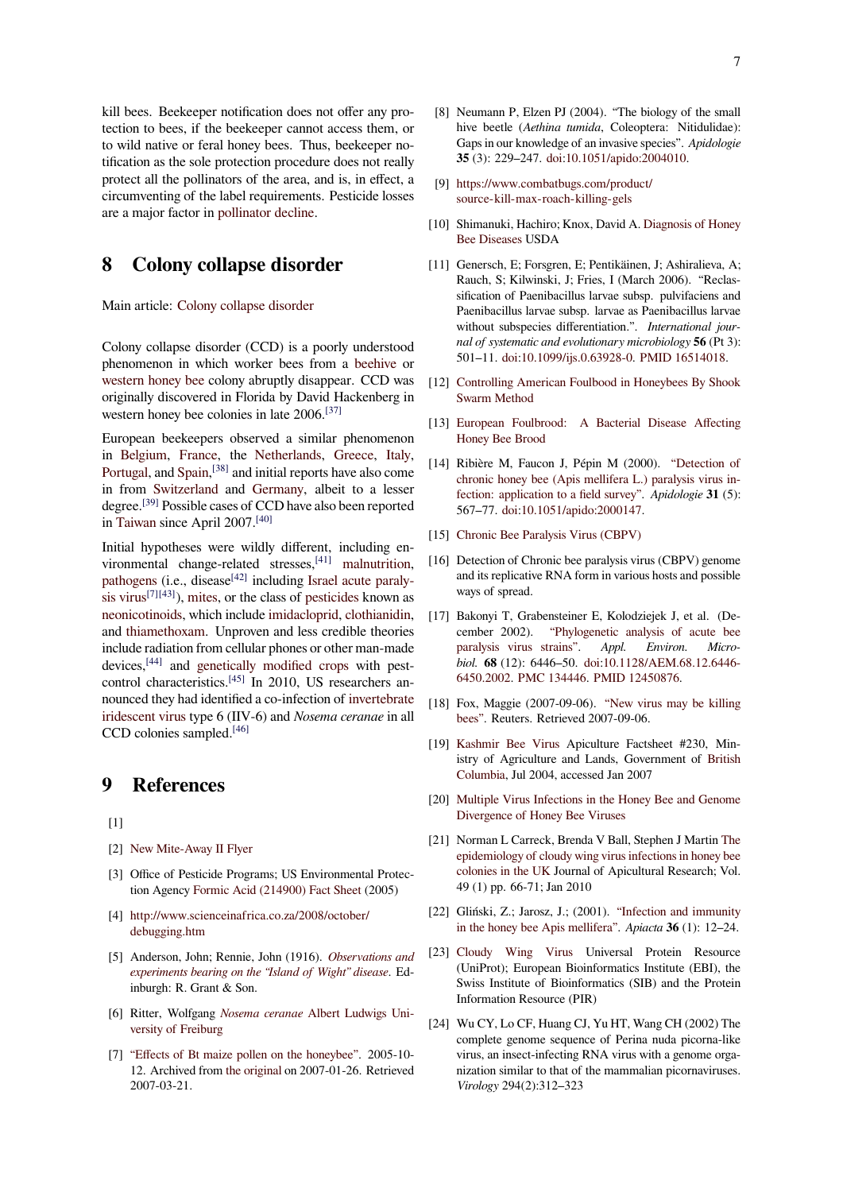kill bees. Beekeeper notification does not offer any protection to bees, if the beekeeper cannot access them, or to wild native or feral honey bees. Thus, beekeeper notification as the sole protection procedure does not really protect all the pollinators of the area, and is, in effect, a circumventing of the label requirements. Pesticide losses are a major factor in pollinator decline.

# **8 Colony collapse disorder**

Main article: Colony collapse disorder

Colony collapse disorder (CCD) is a poorly understood phenomenon in which worker bees from a beehive or western honey bee [colony abruptly disa](https://en.wikipedia.org/wiki/Colony_collapse_disorder)ppear. CCD was originally discovered in Florida by David Hackenberg in western honey bee colonies in late 2006.<sup>[37]</sup>

European beekeepers observed a similar p[henomen](https://en.wikipedia.org/wiki/Beehive_(beekeeping))on in [Belgium,](https://en.wikipedia.org/wiki/Western_honey_bee) France, the Netherlands, Greece, Italy, Portugal, and Spain,<sup>[38]</sup> and initial reports have also come in from Switzerland and Germany, al[bei](#page-7-6)t to a lesser degree.[39] Possible cases of CCD have also been reported in [Taiwan](https://en.wikipedia.org/wiki/Belgium) sin[ce April](https://en.wikipedia.org/wiki/France) 2007.[\[40\]](https://en.wikipedia.org/wiki/Netherlands)

[Initial hy](https://en.wikipedia.org/wiki/Portugal)pot[heses](https://en.wikipedia.org/wiki/Spain) [were](#page-7-7) wildly different, including environme[ntal change-](https://en.wikipedia.org/wiki/Switzerland)relat[ed stresse](https://en.wikipedia.org/wiki/Germany)s,<sup>[41]</sup> malnutrition, pathog[ens](#page-7-8) (i.e., disease $[42]$  including Israel acute paralysis [virus](https://en.wikipedia.org/wiki/Taiwan)<sup>[7][43]</sup>), mites, or th[e cla](#page-7-9)ss of pesticides known as neonicotinoids, which include imidacloprid, clothianidin, and thiamethoxam. Unproven and les[s cr](#page-7-10)e[dible theories](https://en.wikipedia.org/wiki/Malnutrition) [include rad](https://en.wikipedia.org/wiki/Pathogen)iation from [cellu](#page-7-11)lar phone[s or other man-made](https://en.wikipedia.org/wiki/Diseases_of_the_honey_bee#Israeli_acute_paralysis_virus) [devices,](https://en.wikipedia.org/wiki/Diseases_of_the_honey_bee#Israeli_acute_paralysis_virus)[\[44](#page-6-5)] [a](#page-7-12)nd [gene](https://en.wikipedia.org/wiki/Mite)tically modifie[d crops](https://en.wikipedia.org/wiki/Pesticide_toxicity_to_bees) with pest[control charact](https://en.wikipedia.org/wiki/Neonicotinoids)eristics.<sup>[45]</sup> In [2010, US re](https://en.wikipedia.org/wiki/Imidacloprid)s[earchers an](https://en.wikipedia.org/wiki/Clothianidin)nou[nced they had id](https://en.wikipedia.org/wiki/Thiamethoxam)entified a co-infection of invertebrate iridescent virus type 6 (IIV-6) and *Nosema ceranae* in all CCD c[olon](#page-7-13)ies sa[mpled.](https://en.wikipedia.org/wiki/Genetically_modified_food)<sup>[46]</sup>

# **[9 Refere](https://en.wikipedia.org/wiki/Invertebrate_iridescent_virus)nces**

 $[1]$ 

- [2] New Mite-Away II Flyer
- [3] Office of Pesticide Programs; US Environmental Protection Agency Formic Acid (214900) Fact Sheet (2005)
- <span id="page-6-1"></span><span id="page-6-0"></span>[4] [http://www.scienceinafri](http://www.miteaway.com/)ca.co.za/2008/october/ debugging.htm
- <span id="page-6-2"></span>[5] Anderson,J[ohn; Rennie, John \(1916\).](http://www.epa.gov/pesticides/biopesticides/ingredients/factsheets/factsheet_214900.htm) *Observations and experiments bearing on the "Island of Wight" disease*. Ed[inburgh: R. Grant & Son.](http://www.scienceinafrica.co.za/2008/october/debugging.htm)
- [6] [Ritter, Wolfgan](http://www.scienceinafrica.co.za/2008/october/debugging.htm)g *Nosema ceranae* Albert Ludwigs University of Freiburg
- <span id="page-6-5"></span><span id="page-6-4"></span><span id="page-6-3"></span>[7] ["Effects of Bt maize pollen on the honeybee". 2005](http://catalog.hathitrust.org/Record/005782776)-10- 12. Archived from the original on 2007-01-26. Retrieved 2007-03-21.
- [8] Neumann P, Elzen PJ (2004). "The biology of the small hive beetle (*Aethina tumida*, Coleoptera: Nitidulidae): Gaps in our knowledge of an invasive species". *Apidologie* **35** (3): 229–247. doi:10.1051/apido:2004010.
- [9] https://www.combatbugs.com/product/ source-kill-max-roach-killing-gels
- [10] Shimanuki, Hachi[ro;](https://en.wikipedia.org/wiki/Digital_object_identifier) [Knox, David A.](http://dx.doi.org/10.1051%2Fapido%3A2004010) Diagnosis of Honey Bee Diseases USDA
- <span id="page-6-18"></span><span id="page-6-6"></span>[11] [Genersch, E; Forsgren, E; Pentikäinen,](https://www.combatbugs.com/product/source-kill-max-roach-killing-gels) J; Ashiralieva, A; Rauch, S; Kilwinski, J; Fries, I (March 2006). "Reclassification of Paenibacillus larvae sub[sp. pulvifaciens and](http://maarec.cas.psu.edu/bkCD/Bee_Diseases/Diagnosis.html) [Paenibacillus](http://maarec.cas.psu.edu/bkCD/Bee_Diseases/Diagnosis.html) larvae subsp. larvae as Paenibacillus larvae without subspecies differentiation.". *International journal of systematic and evolutionary microbiology* **56** (Pt 3): 501–11. doi:10.1099/ijs.0.63928-0. PMID 16514018.
- <span id="page-6-7"></span>[12] Controlling American Foulbood in Honeybees By Shook Swarm Method
- [13] Europea[n F](https://en.wikipedia.org/wiki/Digital_object_identifier)[oulbrood: A Bacteria](http://dx.doi.org/10.1099%2Fijs.0.63928-0)[l Dise](https://en.wikipedia.org/wiki/PubMed_Identifier)[ase Affecti](https://www.ncbi.nlm.nih.gov/pubmed/16514018)ng Honey Bee Brood
- [14] [Ribière M, Faucon J, Pépin M \(2000\).](http://www.cabi.org/GARA/FullTextPDF/2011/20113078992.pdf) "Detection of chronic honey bee (Apis mellifera L.) paralysis virus in[fection: application to a field survey".](http://www.extension.org/pages/European_Foulbrood:_A_Bacterial_Disease_Affecting_Honey_Bee_Brood) *Apidologie* **31** (5): 567–77. [doi:10.10](http://www.extension.org/pages/European_Foulbrood:_A_Bacterial_Disease_Affecting_Honey_Bee_Brood)51/apido:2000147.
- <span id="page-6-9"></span><span id="page-6-8"></span>[15] Chronic Bee Paralysis Virus (CBPV)
- [16] [Detection of Chronic bee paralysis virus \(CBPV\) genome](http://www.edpsciences.org/articles/apido/pdf/2000/05/m0506.pdf) and its re[plic](https://en.wikipedia.org/wiki/Digital_object_identifier)[ative RNA form in variou](http://dx.doi.org/10.1051%2Fapido%3A2000147)s hosts and possible ways of spread.
- <span id="page-6-11"></span><span id="page-6-10"></span>[17] [Bakonyi T, Grabensteiner E, Kolodz](http://www.users.globalnet.co.uk/~msbain/elbka/Diseases/Chronic%20Bee%20Paralysis%20Virus.htm)iejek J, et al. (December 2002). "Phylogenetic analysis of acute bee paralysis virus strains". *Appl. Environ. Microbiol.* **68** (12): 6446–50. doi:10.1128/AEM.68.12.6446- 6450.2002. PMC 134446. PMID 12450876.
- <span id="page-6-12"></span>[18] Fox, Maggie (2007-09-06). ["New virus may be killing](http://aem.asm.org/cgi/pmidlookup?view=long&pmid=12450876) [bees". Reuters. Retrieve](http://aem.asm.org/cgi/pmidlookup?view=long&pmid=12450876)d 2007-09-06.
- [19] [Kashmir B](http://dx.doi.org/10.1128%2FAEM.68.12.6446-6450.2002)[ee Vir](https://en.wikipedia.org/wiki/PubMed_Central)us [Api](https://www.ncbi.nlm.nih.gov/pmc/articles/PMC134446)[c](https://en.wikipedia.org/wiki/Digital_object_identifier)[ulture](https://en.wikipedia.org/wiki/PubMed_Identifier) [Factsheet](https://www.ncbi.nlm.nih.gov/pubmed/12450876) [#230, Min](http://dx.doi.org/10.1128%2FAEM.68.12.6446-6450.2002)istry of Agriculture and Lands, Government of British Columbia, Jul 2004, accessed [Jan 2007](http://www.reuters.com/article/scienceNews/idUSN0635510520070906)
- [20] [Multip](http://www.reuters.com/article/scienceNews/idUSN0635510520070906)le Virus Infections in the Honey Bee and Genome [Divergence of Honey](http://www.agf.gov.bc.ca/apiculture/factsheets/230_kashmir.htm) Bee Viruses
- [21] [Norman L](https://en.wikipedia.org/wiki/British_Columbia) Carreck, Brenda V Ball, Stephen J Martin [The](https://en.wikipedia.org/wiki/British_Columbia) epidemiology of cloudy wing virus infections in honey bee colonies in the UK [Journal of Apicultural Research; Vol.](http://www.ars.usda.gov/research/publications/publications.htm?SEQ_NO_115=164413) [49 \(1\) pp. 66-71; Jan 2010](http://www.ars.usda.gov/research/publications/publications.htm?SEQ_NO_115=164413)
- <span id="page-6-14"></span><span id="page-6-13"></span>[22] Gliński, Z.; Jarosz, J.; (2001). "Infection and imm[unity](http://www.ibra.org.uk/articles/Cloudy-wing-virus-infections-in-UK-colonies) [in the honey bee Apis mellifera".](http://www.ibra.org.uk/articles/Cloudy-wing-virus-infections-in-UK-colonies) *Apiacta* **36** (1): 12–24.
- [23] [Cloudy Wing V](http://www.ibra.org.uk/articles/Cloudy-wing-virus-infections-in-UK-colonies)irus Universal Protein Resource (UniProt); European Bioinformatics Institute (EBI), the Swiss Institute of Bioinformati[cs \(SIB\) and the Protein](http://www.beekeeping.com/apiacta/infection_immunity.htm) [Information Resource \(PIR\)](http://www.beekeeping.com/apiacta/infection_immunity.htm)
- <span id="page-6-17"></span><span id="page-6-16"></span><span id="page-6-15"></span>[24] [Wu CY, Lo CF, Huang](http://www.uniprot.org/taxonomy/73117) CJ, Yu HT, Wang CH (2002) The complete genome sequence of Perina nuda picorna-like virus, an insect-infecting RNA virus with a genome organization similar to that of the mammalian picornaviruses. *Virology* 294(2):312–323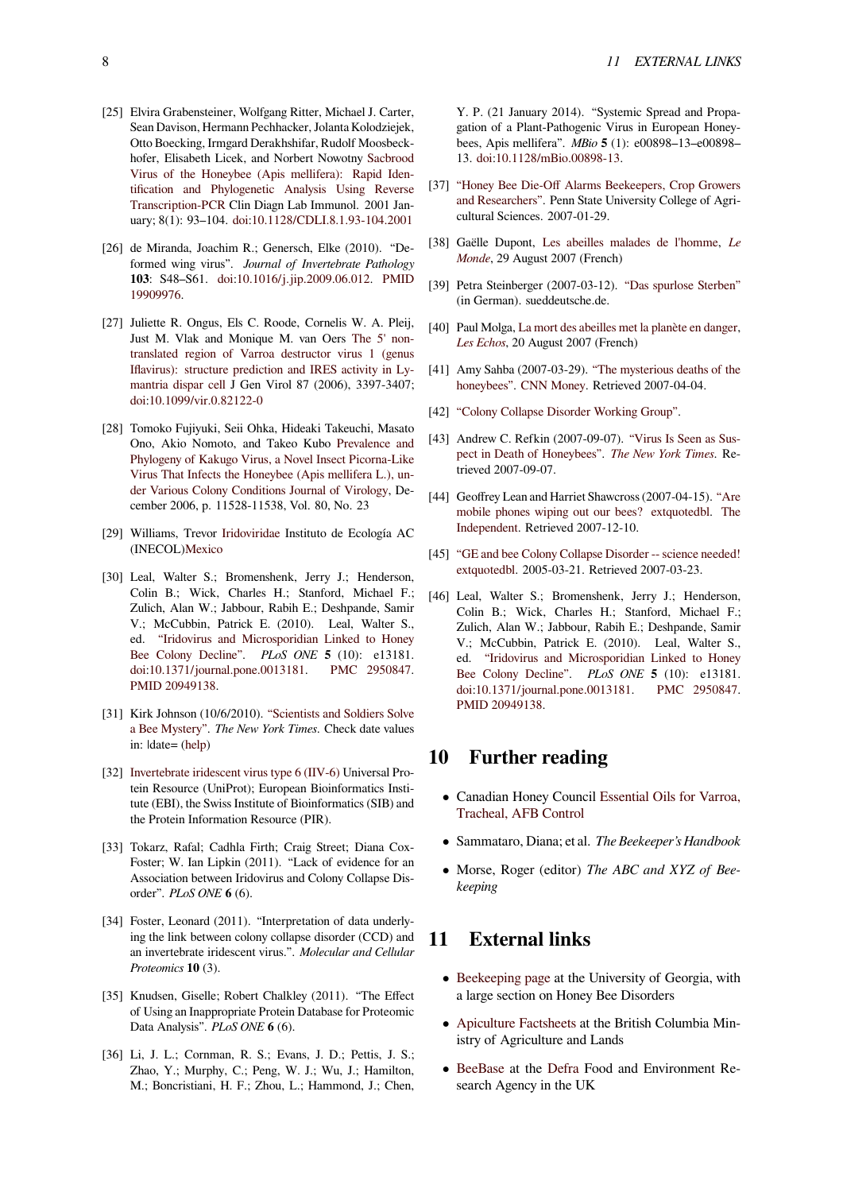- [25] Elvira Grabensteiner, Wolfgang Ritter, Michael J. Carter, Sean Davison, Hermann Pechhacker, Jolanta Kolodziejek, Otto Boecking, Irmgard Derakhshifar, Rudolf Moosbeckhofer, Elisabeth Licek, and Norbert Nowotny Sacbrood Virus of the Honeybee (Apis mellifera): Rapid Identification and Phylogenetic Analysis Using Reverse Transcription-PCR Clin Diagn Lab Immunol. 2001 January; 8(1): 93–104. doi:10.1128/CDLI.8.1.93-[104.2001](http://www.ncbi.nlm.nih.gov/pmc/articles/PMC96016/)
- <span id="page-7-0"></span>[26] [de Miranda, Joachim R.; Genersch, Elke \(2010\). "De](http://www.ncbi.nlm.nih.gov/pmc/articles/PMC96016/)formed wing virus". *[Journal of Invertebrate Pathology](http://www.ncbi.nlm.nih.gov/pmc/articles/PMC96016/)* **103**[: S48–S61.](http://www.ncbi.nlm.nih.gov/pmc/articles/PMC96016/) do[i:10](https://en.wikipedia.org/wiki/Digital_object_identifier)[.1016/j.jip.2009.06.012.](http://dx.doi.org/10.1128%2FCDLI.8.1.93-104.2001) PMID 19909976.
- <span id="page-7-1"></span>[27] Juliette R. Ongus, Els C. Roode, Cornelis W. A. Pleij, Just M. Vlak and Monique M. van Oers The 5' nontranslated region [of](https://en.wikipedia.org/wiki/Digital_object_identifier) [Varroa destructor virus 1](http://dx.doi.org/10.1016%2Fj.jip.2009.06.012) [\(genus](https://en.wikipedia.org/wiki/PubMed_Identifier) [Iflavirus\):](https://www.ncbi.nlm.nih.gov/pubmed/19909976) structure prediction and IRES activity in Lymantria dispar cell J Gen Virol 87 (2006), 3397-3407; doi:10.1099/vir.0.82122-0
- <span id="page-7-2"></span>[28] [Tomoko Fujiyuki, Seii Ohka, Hideaki Takeuchi, Masato](http://jgv.sgmjournals.org/cgi/content/abstract/87/11/3397) [Ono, Akio Nomoto, and Takeo Kubo](http://jgv.sgmjournals.org/cgi/content/abstract/87/11/3397) Prevalence and [Phylogeny of Kaku](http://jgv.sgmjournals.org/cgi/content/abstract/87/11/3397)go Virus, a Novel Insect Picorna-Like [Vir](https://en.wikipedia.org/wiki/Digital_object_identifier)[us That Infects the Hon](http://dx.doi.org/10.1099%2Fvir.0.82122-0)eybee (Apis mellifera L.), under Various Colony Conditions Journal of Virology, December 2006, p. 11528-11538, Vol. 80, [No. 23](http://jvi.asm.org/cgi/content/short/80/23/11528)
- [29] Williams, Trevor Iridoviridae [Instituto de Ecología AC](http://jvi.asm.org/cgi/content/short/80/23/11528) [\(INECOL\)Mexico](http://jvi.asm.org/cgi/content/short/80/23/11528)
- <span id="page-7-3"></span>[30] Leal, Walter S.; Bromenshenk, Jerry J.; Henderson, Colin B.; Wick, Charles H.; Stanford, Michael F.; Zulich, Alan W.; [Jabbour, Ra](http://www.trevorwilliams.info/Iridovirus.htm)bih E.; Deshpande, Samir V.; McCu[bbin, P](https://en.wikipedia.org/wiki/Mexico)atrick E. (2010). Leal, Walter S., ed. "Iridovirus and Microsporidian Linked to Honey Bee Colony Decline". *PLoS ONE* **5** (10): e13181. doi:10.1371/journal.pone.0013181. PMC 2950847. PMID 20949138.
- <span id="page-7-4"></span>[31] Kirk Johnson (10/6/2010). ["Scientists and Soldiers Solve](https://www.ncbi.nlm.nih.gov/pmc/articles/PMC2950847) [a Bee Mystery".](https://www.ncbi.nlm.nih.gov/pmc/articles/PMC2950847) *The New York Times*. [Check](https://en.wikipedia.org/wiki/PubMed_Central)d[ate values](https://www.ncbi.nlm.nih.gov/pmc/articles/PMC2950847) [in:](https://en.wikipedia.org/wiki/Digital_object_identifier) [|date= \(help\)](http://dx.doi.org/10.1371%2Fjournal.pone.0013181)
- [32] Invertebrate iridescent virus type 6 (IIV-6) Universal Protein Resource (UniProt); E[uropean Bioinformatics Insti](http://www.nytimes.com/2010/10/07/science/07bees.html)[tute \(EBI\), the S](http://www.nytimes.com/2010/10/07/science/07bees.html)wiss Institute of Bioinformatics (SIB) and the Protein [Info](https://en.wikipedia.org/wiki/Help:CS1_errors#bad_date)rmation Resource (PIR).
- [33] [Tokarz, Rafal; Cadhla Firth; Craig Stree](http://www.uniprot.org/taxonomy/176652)t; Diana Cox-Foster; W. Ian Lipkin (2011). "Lack of evidence for an Association between Iridovirus and Colony Collapse Disorder". *PLoS ONE* **6** (6).
- [34] Foster, Leonard (2011). "Interpretation of data underlying the link between colony collapse disorder (CCD) and an invertebrate iridescent virus.". *Molecular and Cellular Proteomics* **10** (3).
- [35] Knudsen, Giselle; Robert Chalkley (2011). "The Effect of Using an Inappropriate Protein Database for Proteomic Data Analysis". *PLoS ONE* **6** (6).
- <span id="page-7-5"></span>[36] Li, J. L.; Cornman, R. S.; Evans, J. D.; Pettis, J. S.; Zhao, Y.; Murphy, C.; Peng, W. J.; Wu, J.; Hamilton, M.; Boncristiani, H. F.; Zhou, L.; Hammond, J.; Chen,

Y. P. (21 January 2014). "Systemic Spread and Propagation of a Plant-Pathogenic Virus in European Honeybees, Apis mellifera". *MBio* **5** (1): e00898–13–e00898– 13. doi:10.1128/mBio.00898-13.

- [37] "Honey Bee Die-Off Alarms Beekeepers, Crop Growers and Researchers". Penn State University College of Agricult[ural](https://en.wikipedia.org/wiki/Digital_object_identifier) [Sciences. 2007-01-29.](http://dx.doi.org/10.1128%2FmBio.00898-13)
- [38] Gaëlle Dupont, Les abeilles malades de l'homme, *Le Monde*[, 29 August 2007 \(French\)](http://www.aginfo.psu.edu/News/07Jan/HoneyBees.htm)
- <span id="page-7-6"></span>[39] Petra Steinberger (2007-03-12). "Das spurlose Sterben" (in German). sue[ddeutsche.de.](http://www.lemonde.fr/web/article/0,1-0@2-3244,36-948835@51-948933,0.html)
- <span id="page-7-7"></span>[40] [Paul M](https://en.wikipedia.org/wiki/Le_Monde)olga, La mort des abeilles met la planète en danger, *Les Echos*, 20 August 2007 (Fren[ch\)](http://www.sueddeutsche.de/,ra13l5/wissen/artikel/352/105247/)
- <span id="page-7-8"></span>[41] Amy Sahba (2007-03-29). "The mysterious deaths of the honeybees". [CNN Money. Retrieved 2007-04-04.](http://www.lesechos.fr/info/energie/4611614.htm)
- <span id="page-7-9"></span>[42] ["Colony C](�� h t t p s : / / e n . w i k i p e d i a . o r g / w i k i / L e s _ � c h o s _ ( F r a n c e ))ollapse Disorder Working Group".
- <span id="page-7-10"></span>[43] Andrew C. Refkin (2007-09-07). ["Virus Is Seen as Sus](http://money.cnn.com/2007/03/29/news/honeybees/)[pect in Dea](http://money.cnn.com/2007/03/29/news/honeybees/)t[h of Honeybe](https://en.wikipedia.org/wiki/CNN_Money)es". *The New York Times*. Re[trieved 2007-09-07.](http://www.ento.psu.edu/MAAREC/pressReleases/ColonyCollapseDisorderWG.html)
- <span id="page-7-12"></span><span id="page-7-11"></span>[44] Geoffrey Lean and Harriet Shawcross (2007-04-15). "Are mobile phones wiping out our be[es? extquotedbl.](http://www.nytimes.com/2007/09/07/science/07bees.html?hp) The [Independent. Retrieved 2007](http://www.nytimes.com/2007/09/07/science/07bees.html?hp)-[12-10.](https://en.wikipedia.org/wiki/The_New_York_Times)
- [45] "GE and bee Colony Collapse Disorder -- science ne[eded!](http://environment.independent.co.uk/nature/article2449968.ece) [extquotedbl. 2005-03-21. Retrieved 2007-03-23.](http://environment.independent.co.uk/nature/article2449968.ece)
- <span id="page-7-13"></span>[46] [Leal, Walte](https://en.wikipedia.org/wiki/The_Independent)r S.; Bromenshenk, Jerry J.; Henderson, Colin B.; Wick, Charles H.; Stanford, Michael F.; [Zulich, Alan W.; Jabbour, Rabih E.; Deshpande, Samir](http://www.sierraclub.org/biotech/whatsnew/whatsnew_2007-03-21.asp) [V.; McCub](http://www.sierraclub.org/biotech/whatsnew/whatsnew_2007-03-21.asp)bin, Patrick E. (2010). Leal, Walter S., ed. "Iridovirus and Microsporidian Linked to Honey Bee Colony Decline". *PLoS ONE* **5** (10): e13181. doi:10.1371/journal.pone.0013181. PMC 2950847. PMID 20949138.

# **10[Further reading](http://dx.doi.org/10.1371%2Fjournal.pone.0013181)**

- *•* Canadian Honey Council Essential Oils for Varroa, Tracheal, AFB Control
- *•* Sammataro, Diana; et al. *The Beekeeper's Handbook*
- *•* Morse, Roger (editor) *T[he ABC and XYZ of Bee](http://www.honeycouncil.ca/users/folder.asp?FolderID=4935)[keeping](http://www.honeycouncil.ca/users/folder.asp?FolderID=4935)*

# **11 External links**

- Beekeeping page at the University of Georgia, with a large section on Honey Bee Disorders
- *•* Apiculture Factsheets at the British Columbia Min[istry of Agricultu](http://www.ent.uga.edu/Bees/beekeeping.html)re and Lands
- *•* BeeBase at the Defra Food and Environment Re[search Agency in the U](http://www.agf.gov.bc.ca/apiculture/factsheets/index.htm)K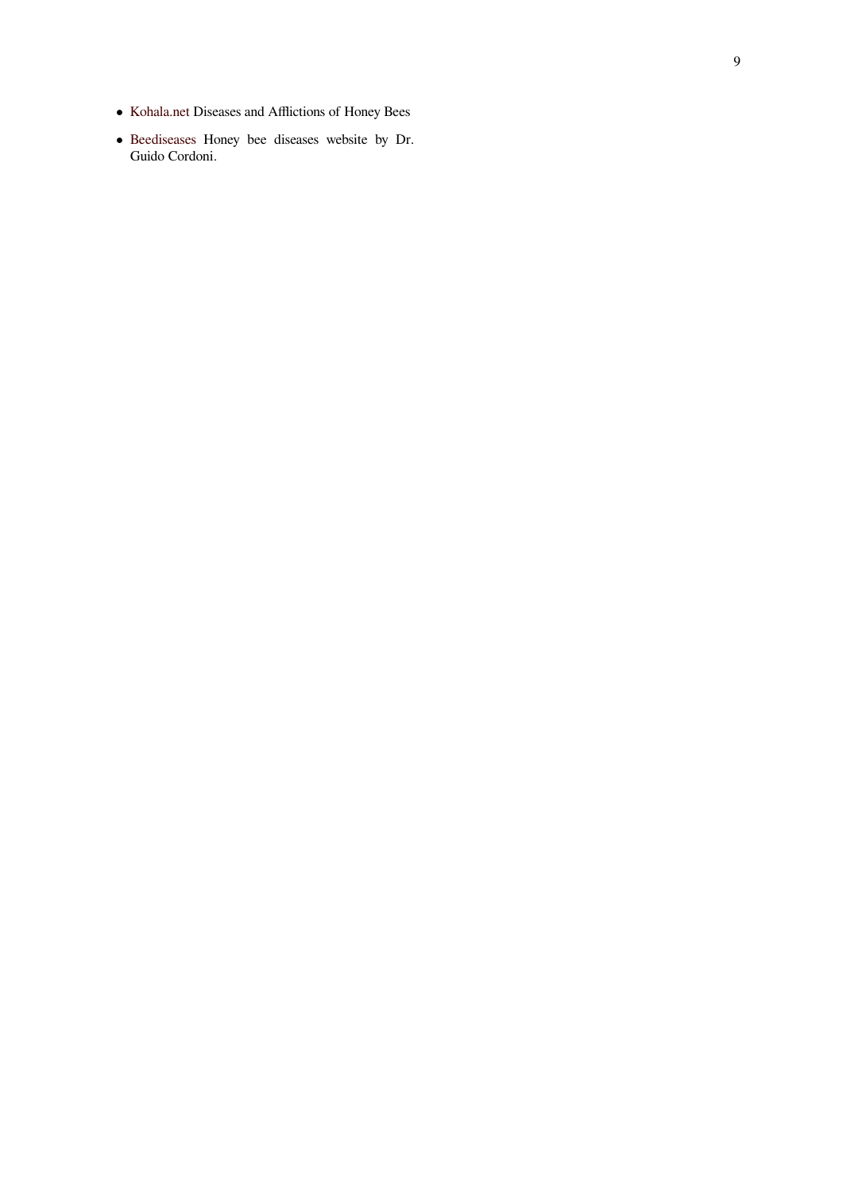- *•* Kohala.net Diseases and Afflictions of Honey Bees
- *•* Beediseases Honey bee diseases website by Dr. Guido Cordoni.